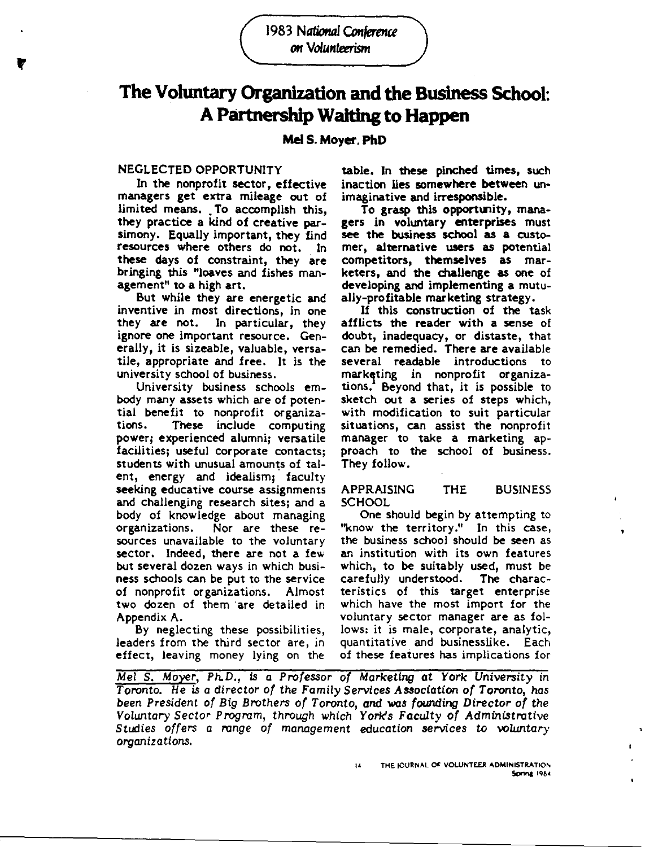1983 National Conference on Volunteerism

# The Voluntary Organization and the Business School: A Partnership Waiting to Happen

# **Mel S. Moyer, PhD**

#### NEGLECTED OPPORTUNITY

In the nonprofit sector, effective managers get extra mileage out of limited means. To accomplish this, they practice a kind of creative parsimony. Equally important, they find resources where others do not. In **these** days of constraint, they are bringing this "loaves and fishes management" to a high art.

But while they are energetic and inventive in most directions, in one<br>they are not. In particular, they In particular, they ignore one important resource. Gen**erally,** it is sizeable, valuable, versatile, appropriate and **free.** It is the university school of business.

University business schools embody many assets which are of potential benefit to nonprofit organizations. These include computing power; experienced alumni; versatile facilities; useful corporate contacts; students with unusual amounts of talent, energy and idealism; faculty **seeking** educative course assignments and challenging research sites; and a body of knowledge about managing organizations. Nor are these resources unavailable to the voluntary sector. Indeed, there are not a few but several dozen ways in which busi**ness** schools can be put to the service of nonprofit organizations. Almost two dozen of them are detailed in Appendix A.

By neglecting these possibilities, leaders from the third sector are, in effect, leaving money lying on the

**table.** In **these pinched times,** such inaction **lies somewhere between** un**imaginative and irresponsible.** 

To **grasp this opportunity, managers** in **voluntary enterprises** must see the business school **as a** customer, alternative users as potential competitors, themselves as marketers, and the challenge as one of developing and implementing a mutually-profitable marketing strategy.

If this construction of the task afflicts the reader with a sense of doubt, inadequacy, or distaste, that can be remedied. There are available several readable introductions to marketing in nonprofit organizations. Beyond that, it is possible to sketch out a series of steps which, with modification to suit particular situations, can assist the nonprofit manager to take a marketing approach to the school of business. They follow.

APPRAISING THE BUSINESS **SCHOOL** 

One should begin by attempting to "know the territory." In this case, the business school should be seen as an institution with its own features which, to be suitably used, must be carefully understood. The characteristics of this target enterprise which have the most import for the voluntary sector manager are as follows: it is male, corporate, analytic, quantitative and businesslike. Each of these features has implications for

Mel s. Moyer, Ph.D., *is* a Professor of Marketing at York University in Toronto. He *is* a director of the Family Services Association of Toronto, has been President of Big Brothers of Toronto, and was founding Director of the Voluntary Sector Program, through which York's Faculty of Administrative Studies offers a range of management education services to voluntary organizations.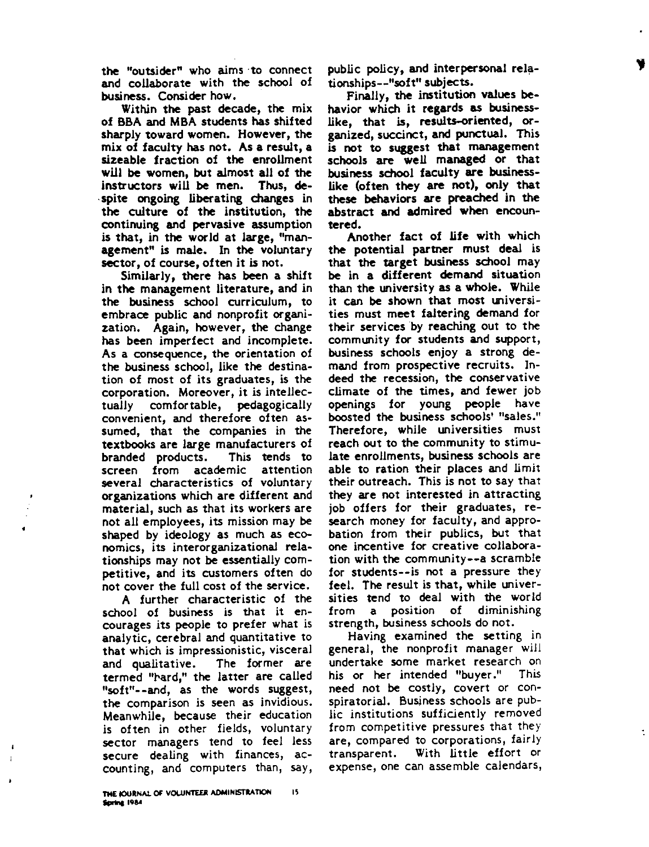the "outsider" who aims ·to connect and collaborate with the school of business. Consider how.

Within the past decade, the mix of BBA and MBA students has shifted sharply toward women. However, the mix of faculty has not. **As a** result, a sizeable fraction of the enrollment will be women, but almost all of the instructors will be men. Thus, **de**spite **ongoing** liberating **changes** in the culture of the institution, the continuing and pervasive assumption is that, in the world at large, "management" is male. In the voluntary sector, of course, often it is not.

Similarly, there has been a shift in the management literature, and in the business school curriculum, to embrace public and nonprofit **organi**zation. Again, however, the change has been imperfect and incomplete. As a consequence, the orientation of the business school, like the destination of most of its graduates, is the corporation. Moreover, it is intellectually comfortable, pedagogically convenient, and therefore often assumed, that the companies in the textbooks are large manufacturers of branded products. This tends to screen from academic several characteristics of voluntary organizations which are different and material, such as that its workers are not all employees, its mission may be shaped by ideology as much as economics, its interorganizational relationships may not be essentially competitive, and its customers often do not cover the full cost of the service.

A further characteristic of the school of business is that it encourages its people to prefer what is analytic, cerebral and quantitative to that which is impressionistic, visceral and qualitative. The former are termed "hard," the latter are called "soft"--and, as the words suggest, **the** comparison is seen as invidious. Meanwhile, because their education is often in other fields, voluntary sector managers tend to feel less secure dealing with finances, accounting, and computers than, say,

public policy, **and interpersonal rela**tionships--"soft" subjects.

Finally, the institution **values be**havior which it **regards as business**like, that is, results-oriented, organized, succinct, and punctual. This is not to suggest that management schools are well managed or that business school faculty **are** businesslike (often they are not), only that these behaviors are preached in the abstract and admired when encountered.

Another fact of life with which the potential partner must deal is that the target business school may be in a different demand situation than the university as a whole. While it can be shown that most universities must meet faltering demand for their services by reaching out to the community for students and support, business schools enjoy a strong demand from prospective recruits. Indeed the recession, the conservative climate of the times, and fewer job openings for young people have boosted the business schools' "sales." Therefore, while universities must reach out to the community to stimu**late** enrollments, **business** schools are able to ration their places and limit their outreach. This is not to say that they **are** not interested in attracting job offers for their graduates, research money for faculty, and approbation from their publics, but that one incentive for creative collaboration with the community--a scramble for students--is not a pressure they feel. The result is that, while universities tend to deal with the world from a position of diminishing strength, business schools do not.

Having examined the setting in general, the nonprofit manager will undertake some market research on his or her intended "buyer." This need not be costly, covert or conspiratorial. Business schools are public institutions sufficiently removed from competitive pressures that they are, compared to corporations, fairly transparent. With little effort or expense, one can assemble calendars,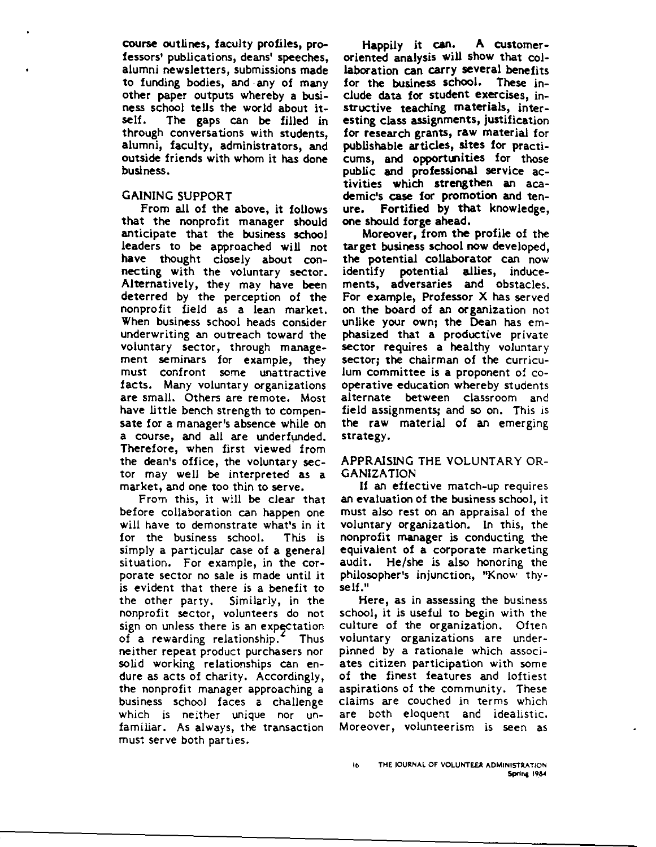course outlines, faculty profiles, professors' publications, deans' speeches, alumni newsletters, submissions made to funding bodies, and • any of many other paper outputs whereby a business school tells the world about it-<br>self. The gaps can be filled in The gaps can be filled in through conversations with students, alumni, faculty, administrators, and outside friends with whom it has done business.

# GAINING SUPPORT

From all of the above, it follows that the nonprofit manager should anticipate that the business school leaders to be approached will not have thought closely about connecting with the voluntary sector. Alternatively, they may have been deterred by the perception of the nonprofit field as a lean market. When business school heads consider underwriting an outreach toward the voluntary sector, through management seminars for example, they must confront some unattractive facts. Many voluntary organizations **are** small. Others are remote. Most have little bench strength to compen**sate** for a manager's absence while on a course, and all are underfunded. Therefore, when first **viewed** from the dean's office, the voluntary sector may well be interpreted as a market, and one too thin to serve.

From this, it will be clear that before collaboration can happen one will have to demonstrate what's in it for the business school. This is simply **a** particular case of a general situation. For example, in the corporate sector no sale is made until it is evident that there is a benefit to the other party. Similarly, in the nonprofit sector, volunteers do not sign on unless there is an expectation of a rewarding relationship.<sup>4</sup> Thus neither repeat product purchasers nor solid working relationships can endure as acts of charity. Accordingly, the nonprofit manager approaching a business school faces a challenge which is neither unique nor unfamiliar. As always, the transaction must serve both parties.

**Happily it can. A customeroriented analysis will show that** col**laboration can carry several benefits for the business school. These** in**clude data for student exercises,** in**structive teaching materials,** inter**esting class assignments,** justification for research grants, raw material for publishable articles, sites for practicums, and opportunities for those public and professional service activities which strengthen an academic's case for promotion and tenure. Fortified by that knowledge, one should forge ahead.

Moreover, from the profile of the target business school now developed, the potential collaborator can now identify potential allies, inducements, adversaries and obstacles. For example, Professor X has served on the board of an organization not unlike your own; the Dean has emphasized that a productive private sector requires a healthy voluntary sector; the chairman of the curriculum committee is a proponent of cooperative education whereby students alternate between classroom and field assignments; and so on. This is the raw material of an emerging strategy.

### APPRAISING THE VOLUNTARY OR-GANIZATION

If an effective match-up requires an evaluation of the business school, it must also rest on an appraisal of the voluntary organization. In this, the nonprofit manager is conducting the equivalent of a corporate marketing audit. He/she is also honoring the philosopher's injunction, "Know thyself."

Here, as in assessing the business school, it is useful to begin with the culture of the organization. Often voluntary organizations are underpinned by a rationale which associates citizen participation with some of the finest features and loftiest aspirations of the community. These claims are couched in terms which are both eloquent and idealistic. Moreover, volunteerism is seen as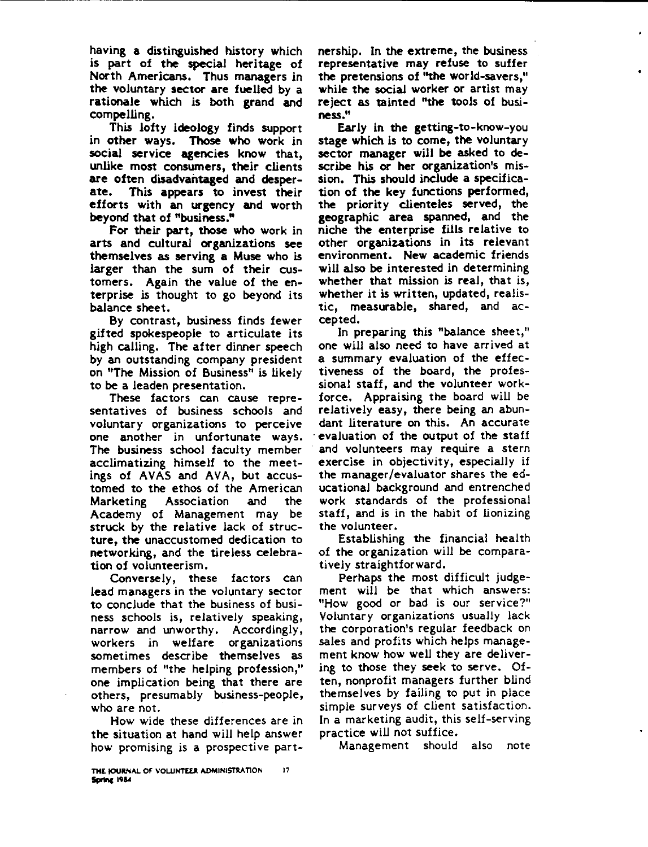having a distinguished history which is part of **the special heritage** of North **Americans.** Thus **managers** in the voluntary **sector are fuelled** by a **rationale** which is both **grand and**  compelling.

This lofty **ideology** finds support in **other ways. Those who work** in social service **agencies** know that, unlike most consumers, their clients are often disadvantaged and desperate. This appears to invest their efforts with an urgency and worth beyond that of "business."

For their part, those who work in arts and cultural organizations see themselves as serving a Muse who is larger than the sum of their customers. Again the value of the enterprise is thought to go beyond its balance sheet.

By contrast, business finds fewer gifted spokespeople to articulate its high calling. The after dinner speech by an outstanding company president on "The Mission of Business" is likely to be a leaden presentation.

These factors can cause representatives of business schools and voluntary organizations to perceive one another in unfortunate ways. The business school faculty member acclimatizing himself to the meetings of AVAS and AVA, but accustomed to the ethos of the American Marketing Association and the Academy of Management may be struck by the relative Jack of structure, the unaccustomed dedication to networking, and the tireless celebration of volunteerism.

Conversely, these factors can lead managers in the voluntary sector to conclude that the business of business schools is, relatively speaking, narrow and unworthy. Accordingly, workers in welfare organizations sometimes describe themselves as members of "the helping profession," one implication being that there are others, presumably business-people, who are not.

How wide these differences are in the situation at hand will help answer how promising is a prospective part-How w<br>the situati<br>how promi<br>The journal of<br>Spring 1984

**THE t0URNAL OF VOLUNTEER ADMINISTRATION** 17<br>**IF 1984**  nership. In **the extreme,** the business **representative may refuse** to suffer the pretensions of ''the world-savers," while the social worker or artist may reject as tainted "the tools of busi**ness."** 

Ear Jy in the getting-to-know-you stage which is to come, the voluntary sector manager **will be** asked to describe his or her organization's mission. This should include a specification of the key functions performed, the priority clienteles served, the geographic area spanned, and the niche the enterprise fills relative to other organizations in its relevant environment. New academic friends will also be interested in determining whether that mission is real, that is, whether it is written, updated, realistic, measurable, shared, and accepted.

In preparing this "balance sheet," one will also need to have arrived at a summary evaluation of the effec**tiveness** of the board, the professional staff, and the volunteer workforce. Appraising the board will be relatively easy, there being an abundant literature on this. An accurate evaluation of the output of the staff and volunteers may require a stern **exercise** in objectivity, especially if the manager/evaluator shares the educational background and entrenched work standards of the professional staff, and is in the habit of lionizing the volunteer.

Establishing the financial health of **the** organization will be comparatively straightforward.

Perhaps the most difficult judgement will be that which answers: "How good or bad is our service?" Voluntary organizations usually lack the corporation's regular feedback on sales and profits which helps management know how well they are delivering to those they seek to serve. Often, nonprofit managers further blind themselves by failing to put in place simple surveys of client satisfaction. In a marketing audit, this self-serving practice will not suffice.

Management should also note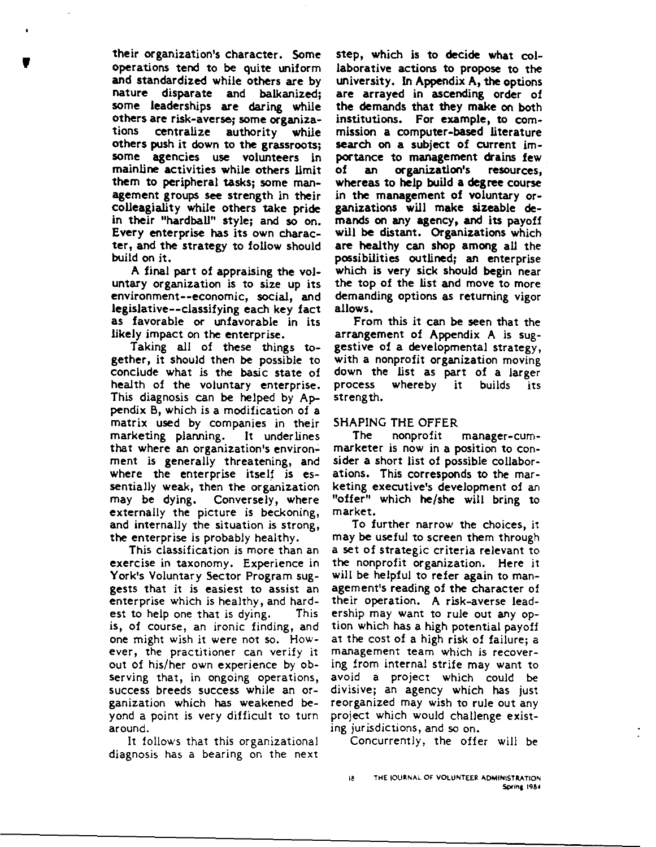**their organization's character.** Some<br>operations tend to be quite uniform<br>and standardized while others are by<br>nature disparate and balkanized: **operations tend** to be quite uniform **and standardized while others are** by **nature disparate** and **balkanized; some leaderships are daring while others are risk-averse; some organiza**tions **centralize** authority **while others push** it **down to the grassroots; some agencies use volunteers** in **mainline activities while** others limit them to **peripheral tasks; some** man**agement groups see strength** in **their colleagiality while** others **take pride**  in **their** "hardball" **style;** and so on. **Every enterprise has its** own **character, and the strategy** to follow should build on it.

> A final part of **appraising the** voluntary organization is to **size** up its environment--economic, social, **and legislative--classifying each key** fact as favorable or unfavorable in its likely impact on the enterprise.

> Taking all of these things to**gether,** it should then be possible to conclude what is the basic state of health of the voluntary enterprise. This diagnosis can be helped by Appendix B, which is a modification of a matrix used by companies in their<br>marketing planning. It underlines marketing planning. that where an organization's environment is generally threatening, and where the enterprise itself is essentially **weak,** then the organization may be dying. Conversely, where externally the picture is beckoning, and internally the situation is strong, the enterprise is probably healthy.

> This classification is more than an exercise in taxonomy. Experience in York's Voluntary Sector Program suggests that it is easiest to assist an enterprise which is healthy, and hardest to help one that is dying. This is, of course, an ironic finding, and one might wish it were not so. However, the practitioner can verify it out of his/her own experience by observing that, in ongoing operations, success breeds success while an organization which has weakened beyond a point is very difficult to turn around.

It follows that this organizational diagnosis has a bearing on the next

**step, which is to decide what** col**laborative actions to propose to the university.** In **Appendix A, the options are arrayed** in **ascending order of the demands that they make on both**  institutions. **For example, to** commission a computer-based literature search on a subject of current importance to management drains few<br>of an organization's resources. organization's whereas to help build **a degree** course in the management of voluntary organizations will make sizeable demands on any agency, and its payoff will be distant. Organizations which are healthy can shop **among** all the possibilities outlined; an enterprise which is very sick should begin near the top of the list and move to more demanding options as returning vigor **allows.** 

From this it can be seen that the arrangement of Appendix A is suggestive of a developmental strategy, with a nonprofit organization moving down the list as part of a larger process whereby it builds its strength.

# SHAPING THE OFFER

The nonprofit manager-cummarketer is now in a position to consider a short list of possible collaborations. This corresponds to the marketing executive's development of an "offer" which **he/she** will bring to market.

To further narrow the choices, it may **be** useful to screen them through a set of strategic criteria relevant to the nonprofit organization. Here it will be helpful to refer again to management's reading of the character of their operation. A risk-averse leadership may want to rule out any option which has a high potential payoff at the cost of a high risk of failure; a management team which is recovering from internal strife may want to avoid a project which could be divisive; an agency which has just reorganized may wish to rule out any project which would challenge existing jurisdictions, and so on.

Concurrently, the offer will be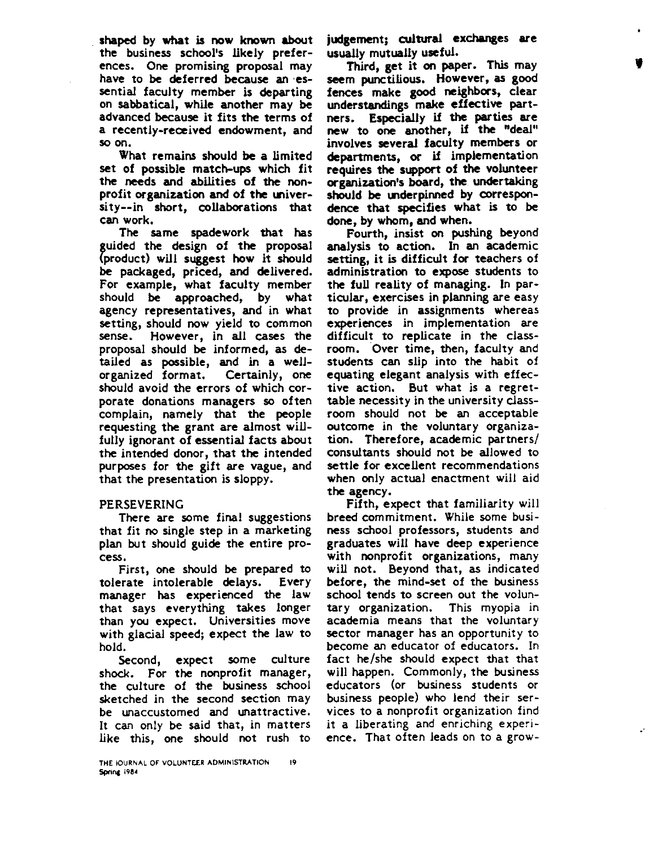shaped by what is now known about the business school's likely preferences. One promising proposal may have to be deferred because an essential faculty member is departing on sabbatical, while another may be advanced because it fits the terms of a recently-received endowment, and so on.

What remains should be a limited set of possible match-ups which fit the needs and abilities of the nonprofit organization and of the universi ty--in short, collaborations that can work.

The same spadework that has guided the design of the proposal (product) will suggest how it should **be packaged,** priced, **and delivered.**  For example, what faculty member should be approached, by what agency representatives, and in what setting, should now yield to common sense. However, in all cases the proposal should be informed, as detailed as possible, and in a wellorganized format. Certainly, one should avoid the errors of which corporate donations managers so often complain, namely that the people requesting the grant are almost willfully ignorant of essential facts about the intended donor, that the intended purposes for the gift are vague, and that the presentation is sloppy.

#### PERSEVERING

There are some final suggestions that fit no single step in a marketing plan but should guide the entire process.

First, one should be prepared to tolerate intolerable delays. Every manager has experienced the Jaw that says everything takes longer than you expect. Universities move with glacial speed; expect the Jaw to hold.

Second, expect some culture shock. For the nonprofit manager, the culture of the business school sketched in the second section may be unaccustomed and unattractive. It can only be said that, in matters like this, one should not rush to

**judgement; cultural exchanges are**  usually mutually useful.

'

**Third, get** it **on paper.** This may seem punctilious. **However, as good fences make good neighbors,** clear **understandings make effective** part**ners. Especially** if **the parties are new** to **one another,** if **the "deal" involves several** faculty **members** or **departments, or** if implementation **requires the support of the volunteer organization's board, the. undertaking**  should be underpinned by correspon**dence that specifies what** is to be **done, by whom, and when.** 

Fourth, insist on pushing beyond analysis to action. In an academic **setting,** it is difficult for teachers of administration to expose students to the full reality of managing. In particular, exercises in planning are easy to provide in assignments whereas experiences in implementation are difficult to replicate in the classroom. Over time, then, faculty and students can slip into the habit of equating elegant analysis with effec**tive** action. But what is a regrettable necessity in the university classroom should not be an acceptable outcome in the voluntary organization. Therefore, academic partners/ consultants should not be allowed to settle for excellent recommendations when only actual enactment will aid **the agency.** 

Fifth, expect that familiarity will breed commitment. While some business school professors, students and graduates will have deep experience with nonprofit organizations, many will not. Beyond that, as indicated **before,** the mind-set of the business school tends to screen out the voluntary organization. This myopia in academia means that the voluntary sector manager has an opportunity to become an educator of educators. In fact he/she should expect that that will happen. Commonly, the business educators (or business students or business people) who lend their services to a nonprofit organization find it a liberating and enriching experience. That often leads on to a grow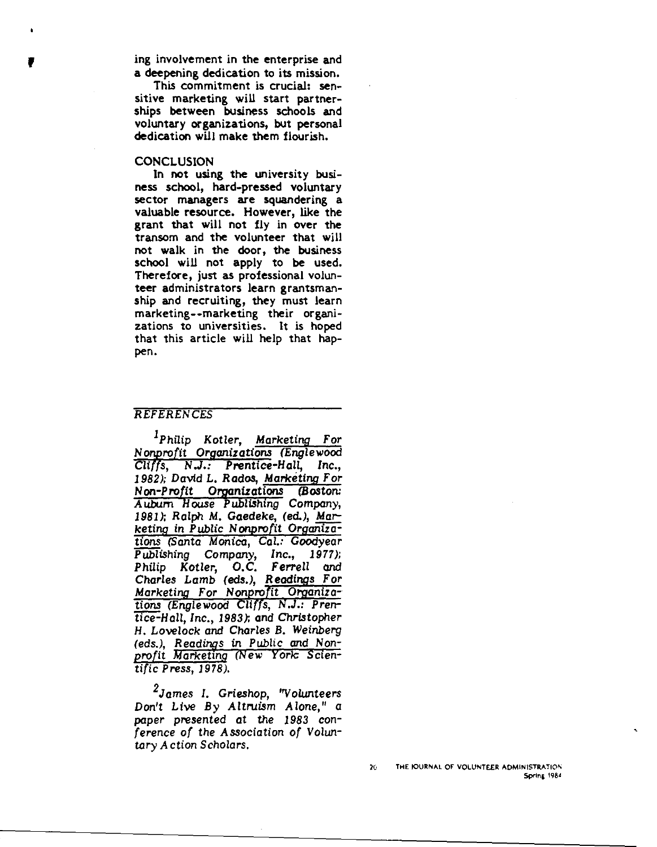If involvement in the enterprise and<br>a deepening dedication to its mission.<br>This commitment is crucial: sena deepening dedication to its mission.

This commitment is crucial: sensitive marketing will start partnerships between business schools and voluntary organizations, but personal dedication will make them flourish.

#### **CONCLUSION**

In not using the university business school, hard-pressed voluntary sector managers are squandering a valuable resource. However, like the grant that will not fly in over the transom and the volunteer that will not walk in the door, the business school will not apply to be used. Therefore, just as professional volunteer administrators learn grantsmanship and recruiting, they must learn marketing--marketing their organizations to universities. It is hoped that this article will help that happen.

#### REFERENCES

<sup>1</sup>Philip Kotler, Marketing For Nonprofit Organizations (Englewood Cli *s,* N *.J.:* Prentice-Hall, *Inc., 1982);* David L. Rados, Marketing For Non-Profit Organizations (Boston: Aubum House Publishing Company, *1981 );* Ralph *M.* Gaedeke, (ed.), Marketing in Public Nonprofit Organizations (Santa Monica, Cal.: Goodyear Publishing Company, Inc., *1977);*  Philip Kotler, O.C. Ferrell *and*  Charles Lamb (eds.), Readings For Marketing For Nonprofit Organizations (Englewood Cliffs, N.J.: Prentice-Hall, Inc., *1983);* and Christopher H. Lovelock and Charles B. Weinberg (eds.), Readings in Public and Nonprofit Marketing (New York: Scientific Press, *1978).* 

*2* James I. Grieshop, "Volunteers Don't Live By Altruism Alone," a paper presented at the *1983* conference of the Association of Voluntary Action Scholars.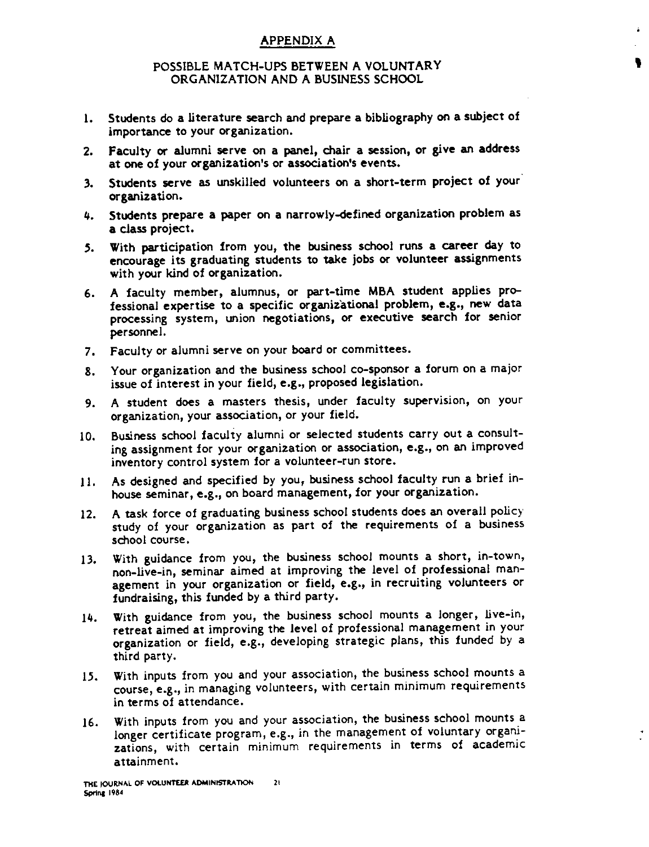# APPENDIX A

## POSSIBLE MATCH-UPS BETWEEN A VOLUNTARY ORGANIZATION AND A BUSINESS SCHOOL

'

- 1. Students do a literature search and prepare a bibliography on a subject of importance to your organization.
- 2. Faculty or alumni serve on a panel, chair a session, or give an address at one of your organization's or association's events.
- 3. Students serve as unskilled volunteers on a short-term project of your· organization.
- 4. Students prepare a paper on a narrowly-defined organization problem as a class project.
- .5. With participation from you, the business school runs a career day to encourage its graduating students to take jobs or volunteer assignments with your kind of organization.
- 6. A faculty member, alumnus, or part-time MBA student applies professional expertise to a specific organizational problem, **e.g.,** new data processing system, union negotiations, or executive search for senior personnel.
- 7. Faculty or alumni serve on your board or committees.
- 8. Your organization and the business school co-sponsor a forum on a major issue of interest in your field, **e.g.,** proposed legislation.
- 9. A student does a masters thesis, under faculty supervision, on your organization, your association, or your field.
- IO. Business school faculty alumni or selected students carry out a consulting assignment for your organization or association, **e.g.,** on **an** improved inventory control system for a volunteer-run store.
- 11. As designed and specified by you, business school faculty run a brief inhouse seminar, e.g., on board management, for your organization.
- 12. A task force of graduating business school students does an overall policy study of your organization as part of the requirements of a business school course.
- 13. With guidance from you, the business school mounts a short, in-town, non-live-in, seminar aimed at improving the level of professional man**agement** in your organization or field, **e.g.,** in recruiting volunteers or fundraising, this funded by a third party.
- J4. With guidance from you, the business school mounts a longer, live-in, retreat aimed at improving the level of professional management in your organization or field, **e.g.,** developing strategic plans, this funded by a third party.
- 15. With inputs from you and your association, the business school mounts a course, **e.g.,** in managing volunteers, with certain minimum requirements in terms of attendance.
- J6. With inputs from you and your association, the business school mounts a longer certificate program, e.g., in the management of voluntary organizations, with certain minimum requirements in terms of academic attainment.